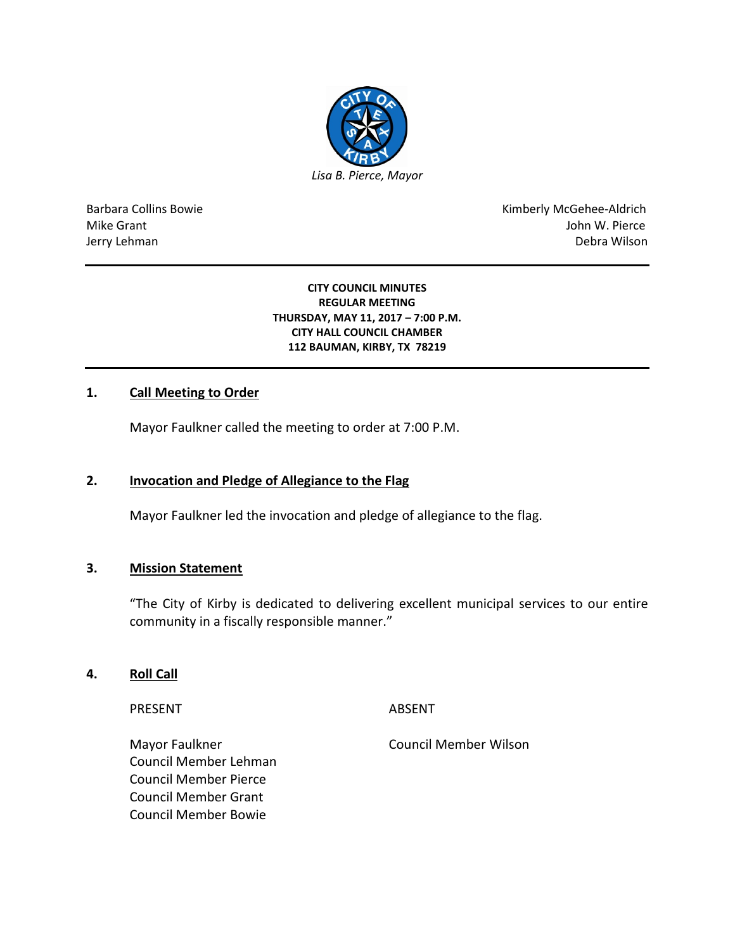

Barbara Collins Bowie **Kimberly McGehee-Aldrich** Mike Grant John W. Pierce Jerry Lehman Debra Wilson

#### **CITY COUNCIL MINUTES REGULAR MEETING THURSDAY, MAY 11, 2017 – 7:00 P.M. CITY HALL COUNCIL CHAMBER 112 BAUMAN, KIRBY, TX 78219**

## **1. Call Meeting to Order**

Mayor Faulkner called the meeting to order at 7:00 P.M.

### **2. Invocation and Pledge of Allegiance to the Flag**

Mayor Faulkner led the invocation and pledge of allegiance to the flag.

### **3. Mission Statement**

"The City of Kirby is dedicated to delivering excellent municipal services to our entire community in a fiscally responsible manner."

## **4. Roll Call**

PRESENT ABSENT

Council Member Lehman Council Member Pierce Council Member Grant Council Member Bowie

Mayor Faulkner **Council Member Wilson**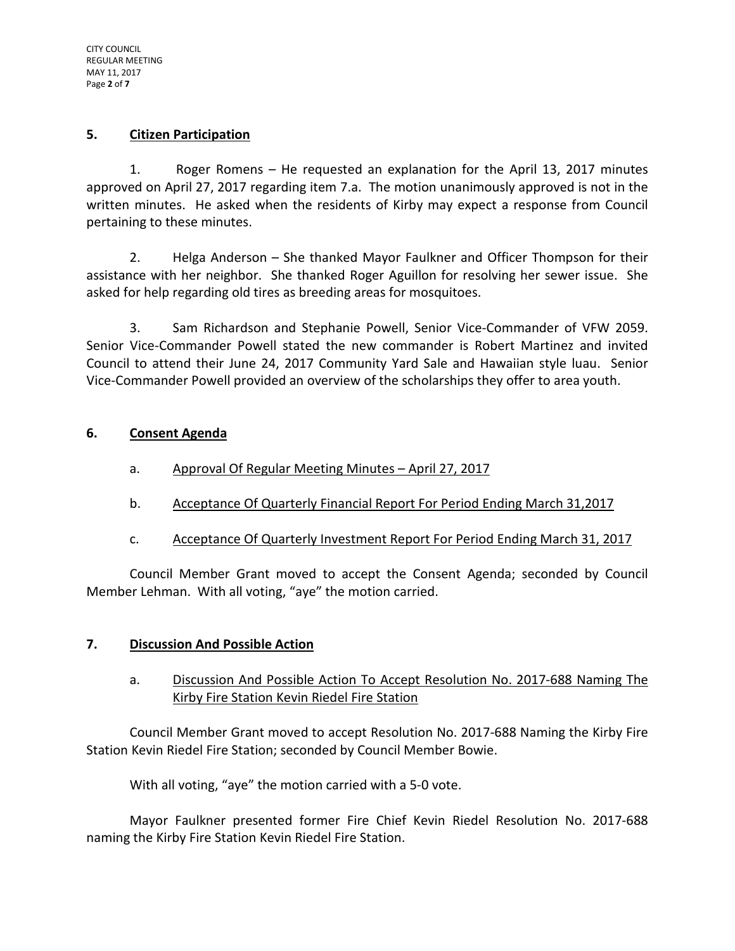## **5. Citizen Participation**

1. Roger Romens – He requested an explanation for the April 13, 2017 minutes approved on April 27, 2017 regarding item 7.a. The motion unanimously approved is not in the written minutes. He asked when the residents of Kirby may expect a response from Council pertaining to these minutes.

2. Helga Anderson – She thanked Mayor Faulkner and Officer Thompson for their assistance with her neighbor. She thanked Roger Aguillon for resolving her sewer issue. She asked for help regarding old tires as breeding areas for mosquitoes.

3. Sam Richardson and Stephanie Powell, Senior Vice-Commander of VFW 2059. Senior Vice-Commander Powell stated the new commander is Robert Martinez and invited Council to attend their June 24, 2017 Community Yard Sale and Hawaiian style luau. Senior Vice-Commander Powell provided an overview of the scholarships they offer to area youth.

## **6. Consent Agenda**

- a. Approval Of Regular Meeting Minutes April 27, 2017
- b. Acceptance Of Quarterly Financial Report For Period Ending March 31,2017
- c. Acceptance Of Quarterly Investment Report For Period Ending March 31, 2017

Council Member Grant moved to accept the Consent Agenda; seconded by Council Member Lehman. With all voting, "aye" the motion carried.

## **7. Discussion And Possible Action**

## a. Discussion And Possible Action To Accept Resolution No. 2017-688 Naming The Kirby Fire Station Kevin Riedel Fire Station

Council Member Grant moved to accept Resolution No. 2017-688 Naming the Kirby Fire Station Kevin Riedel Fire Station; seconded by Council Member Bowie.

With all voting, "aye" the motion carried with a 5-0 vote.

Mayor Faulkner presented former Fire Chief Kevin Riedel Resolution No. 2017-688 naming the Kirby Fire Station Kevin Riedel Fire Station.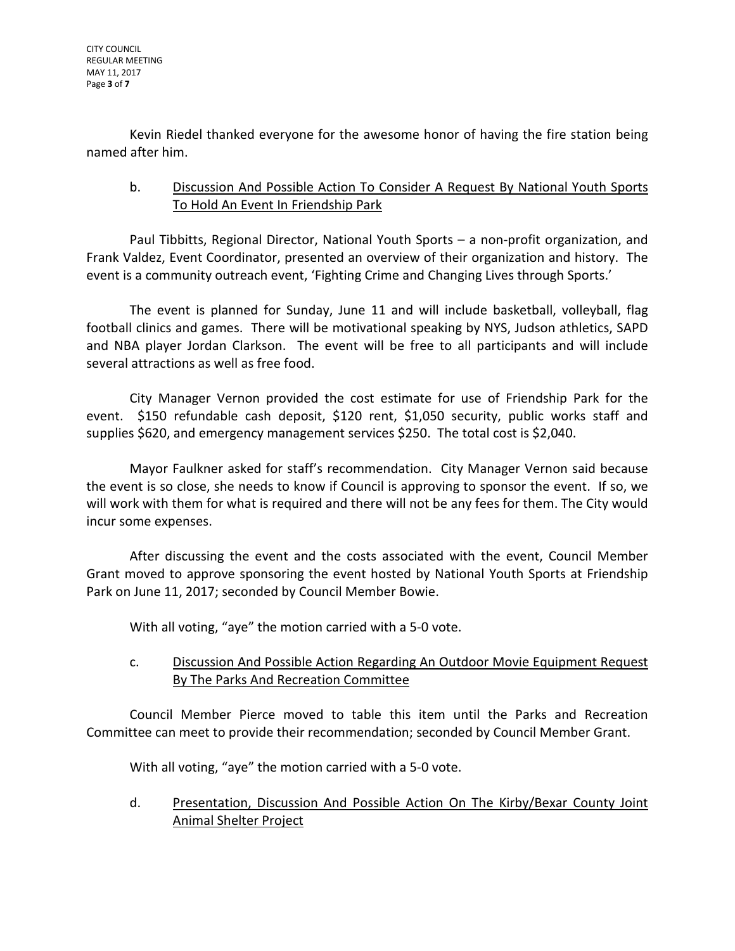Kevin Riedel thanked everyone for the awesome honor of having the fire station being named after him.

# b. Discussion And Possible Action To Consider A Request By National Youth Sports To Hold An Event In Friendship Park

Paul Tibbitts, Regional Director, National Youth Sports – a non-profit organization, and Frank Valdez, Event Coordinator, presented an overview of their organization and history. The event is a community outreach event, 'Fighting Crime and Changing Lives through Sports.'

The event is planned for Sunday, June 11 and will include basketball, volleyball, flag football clinics and games. There will be motivational speaking by NYS, Judson athletics, SAPD and NBA player Jordan Clarkson. The event will be free to all participants and will include several attractions as well as free food.

City Manager Vernon provided the cost estimate for use of Friendship Park for the event. \$150 refundable cash deposit, \$120 rent, \$1,050 security, public works staff and supplies \$620, and emergency management services \$250. The total cost is \$2,040.

Mayor Faulkner asked for staff's recommendation. City Manager Vernon said because the event is so close, she needs to know if Council is approving to sponsor the event. If so, we will work with them for what is required and there will not be any fees for them. The City would incur some expenses.

After discussing the event and the costs associated with the event, Council Member Grant moved to approve sponsoring the event hosted by National Youth Sports at Friendship Park on June 11, 2017; seconded by Council Member Bowie.

With all voting, "aye" the motion carried with a 5-0 vote.

# c. Discussion And Possible Action Regarding An Outdoor Movie Equipment Request By The Parks And Recreation Committee

Council Member Pierce moved to table this item until the Parks and Recreation Committee can meet to provide their recommendation; seconded by Council Member Grant.

With all voting, "aye" the motion carried with a 5-0 vote.

d. Presentation, Discussion And Possible Action On The Kirby/Bexar County Joint Animal Shelter Project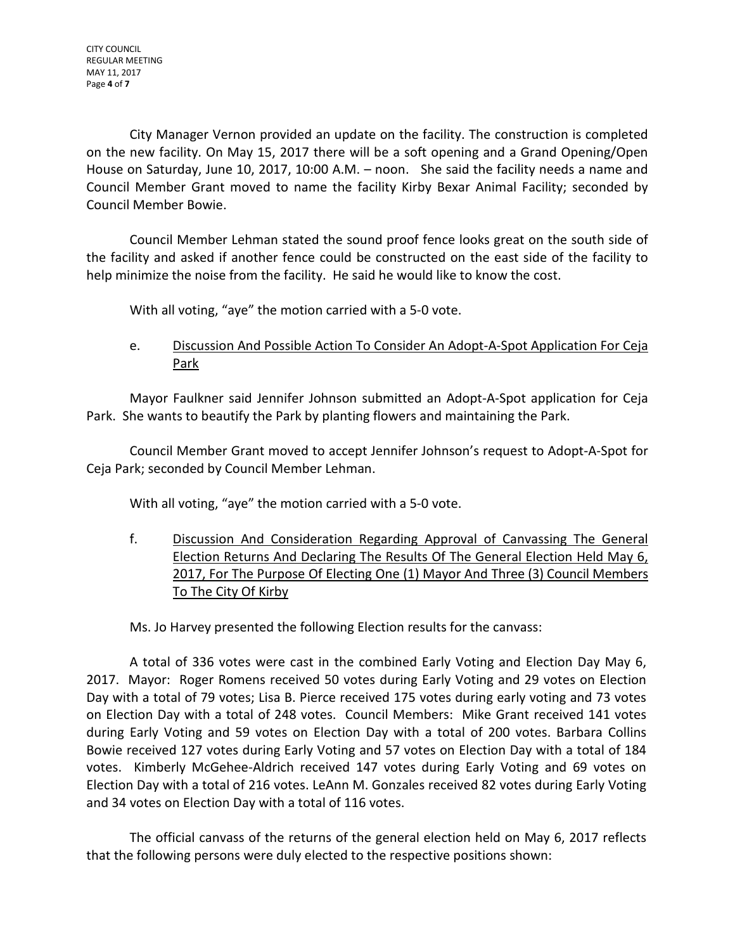City Manager Vernon provided an update on the facility. The construction is completed on the new facility. On May 15, 2017 there will be a soft opening and a Grand Opening/Open House on Saturday, June 10, 2017, 10:00 A.M. – noon. She said the facility needs a name and Council Member Grant moved to name the facility Kirby Bexar Animal Facility; seconded by Council Member Bowie.

Council Member Lehman stated the sound proof fence looks great on the south side of the facility and asked if another fence could be constructed on the east side of the facility to help minimize the noise from the facility. He said he would like to know the cost.

With all voting, "aye" the motion carried with a 5-0 vote.

# e. Discussion And Possible Action To Consider An Adopt-A-Spot Application For Ceja Park

Mayor Faulkner said Jennifer Johnson submitted an Adopt-A-Spot application for Ceja Park. She wants to beautify the Park by planting flowers and maintaining the Park.

Council Member Grant moved to accept Jennifer Johnson's request to Adopt-A-Spot for Ceja Park; seconded by Council Member Lehman.

With all voting, "aye" the motion carried with a 5-0 vote.

f. Discussion And Consideration Regarding Approval of Canvassing The General Election Returns And Declaring The Results Of The General Election Held May 6, 2017, For The Purpose Of Electing One (1) Mayor And Three (3) Council Members To The City Of Kirby

Ms. Jo Harvey presented the following Election results for the canvass:

A total of 336 votes were cast in the combined Early Voting and Election Day May 6, 2017. Mayor: Roger Romens received 50 votes during Early Voting and 29 votes on Election Day with a total of 79 votes; Lisa B. Pierce received 175 votes during early voting and 73 votes on Election Day with a total of 248 votes. Council Members: Mike Grant received 141 votes during Early Voting and 59 votes on Election Day with a total of 200 votes. Barbara Collins Bowie received 127 votes during Early Voting and 57 votes on Election Day with a total of 184 votes. Kimberly McGehee-Aldrich received 147 votes during Early Voting and 69 votes on Election Day with a total of 216 votes. LeAnn M. Gonzales received 82 votes during Early Voting and 34 votes on Election Day with a total of 116 votes.

The official canvass of the returns of the general election held on May 6, 2017 reflects that the following persons were duly elected to the respective positions shown: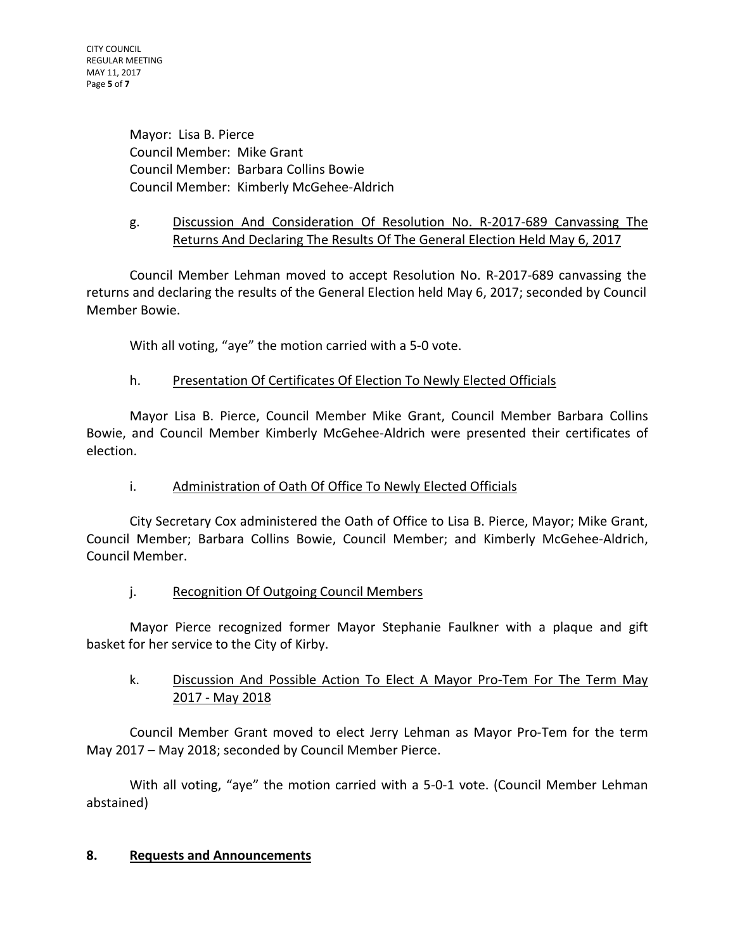CITY COUNCIL REGULAR MEETING MAY 11, 2017 Page **5** of **7**

> Mayor: Lisa B. Pierce Council Member: Mike Grant Council Member: Barbara Collins Bowie Council Member: Kimberly McGehee-Aldrich

# g. Discussion And Consideration Of Resolution No. R-2017-689 Canvassing The Returns And Declaring The Results Of The General Election Held May 6, 2017

Council Member Lehman moved to accept Resolution No. R-2017-689 canvassing the returns and declaring the results of the General Election held May 6, 2017; seconded by Council Member Bowie.

With all voting, "aye" the motion carried with a 5-0 vote.

## h. Presentation Of Certificates Of Election To Newly Elected Officials

Mayor Lisa B. Pierce, Council Member Mike Grant, Council Member Barbara Collins Bowie, and Council Member Kimberly McGehee-Aldrich were presented their certificates of election.

## i. Administration of Oath Of Office To Newly Elected Officials

City Secretary Cox administered the Oath of Office to Lisa B. Pierce, Mayor; Mike Grant, Council Member; Barbara Collins Bowie, Council Member; and Kimberly McGehee-Aldrich, Council Member.

## j. Recognition Of Outgoing Council Members

Mayor Pierce recognized former Mayor Stephanie Faulkner with a plaque and gift basket for her service to the City of Kirby.

## k. Discussion And Possible Action To Elect A Mayor Pro-Tem For The Term May 2017 - May 2018

Council Member Grant moved to elect Jerry Lehman as Mayor Pro-Tem for the term May 2017 – May 2018; seconded by Council Member Pierce.

With all voting, "aye" the motion carried with a 5-0-1 vote. (Council Member Lehman abstained)

## **8. Requests and Announcements**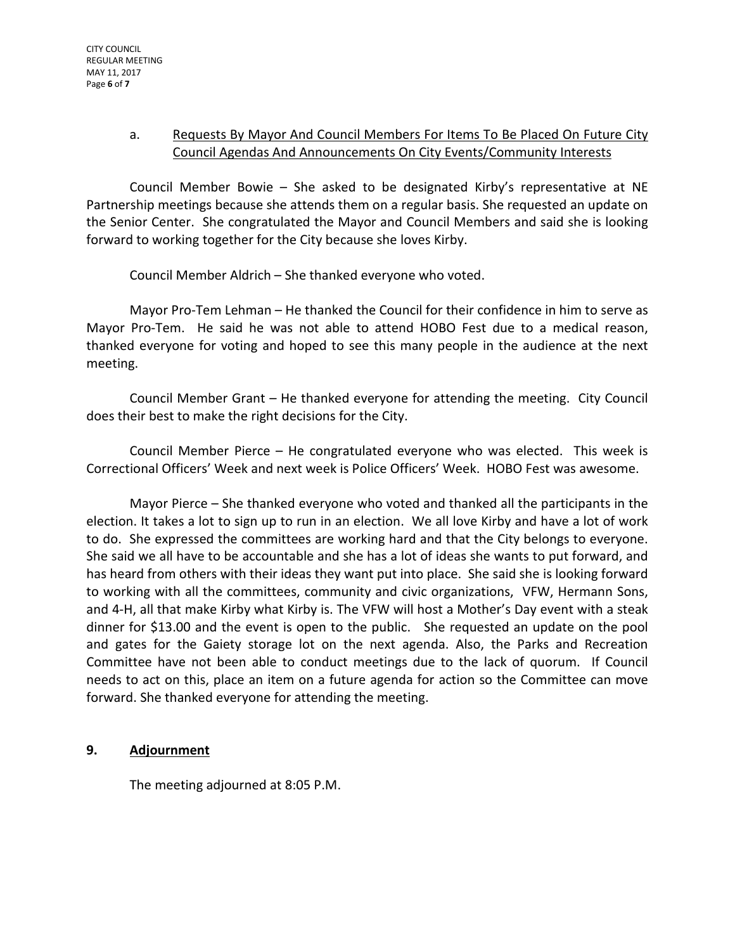## a. Requests By Mayor And Council Members For Items To Be Placed On Future City Council Agendas And Announcements On City Events/Community Interests

Council Member Bowie – She asked to be designated Kirby's representative at NE Partnership meetings because she attends them on a regular basis. She requested an update on the Senior Center. She congratulated the Mayor and Council Members and said she is looking forward to working together for the City because she loves Kirby.

Council Member Aldrich – She thanked everyone who voted.

Mayor Pro-Tem Lehman – He thanked the Council for their confidence in him to serve as Mayor Pro-Tem. He said he was not able to attend HOBO Fest due to a medical reason, thanked everyone for voting and hoped to see this many people in the audience at the next meeting.

Council Member Grant – He thanked everyone for attending the meeting. City Council does their best to make the right decisions for the City.

Council Member Pierce – He congratulated everyone who was elected. This week is Correctional Officers' Week and next week is Police Officers' Week. HOBO Fest was awesome.

Mayor Pierce – She thanked everyone who voted and thanked all the participants in the election. It takes a lot to sign up to run in an election. We all love Kirby and have a lot of work to do. She expressed the committees are working hard and that the City belongs to everyone. She said we all have to be accountable and she has a lot of ideas she wants to put forward, and has heard from others with their ideas they want put into place. She said she is looking forward to working with all the committees, community and civic organizations, VFW, Hermann Sons, and 4-H, all that make Kirby what Kirby is. The VFW will host a Mother's Day event with a steak dinner for \$13.00 and the event is open to the public. She requested an update on the pool and gates for the Gaiety storage lot on the next agenda. Also, the Parks and Recreation Committee have not been able to conduct meetings due to the lack of quorum. If Council needs to act on this, place an item on a future agenda for action so the Committee can move forward. She thanked everyone for attending the meeting.

## **9. Adjournment**

The meeting adjourned at 8:05 P.M.